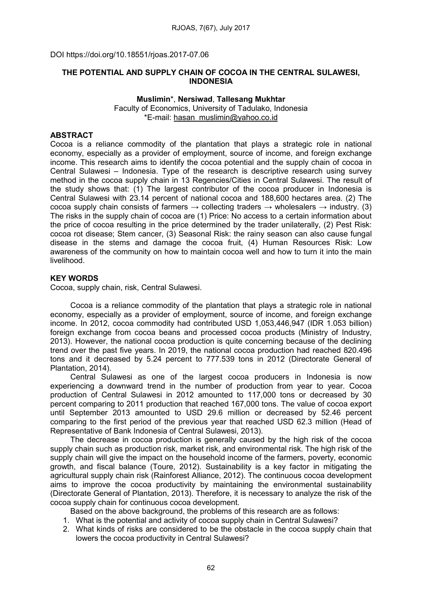DOI https://doi.org/10.18551/rjoas.2017-07.06

# THE POTENTIAL AND SUPPLY CHAIN OF COCOA IN THE CENTRAL SULAWESI, INDONESIA

# Muslimin\*, Nersiwad, Tallesang Mukhtar Faculty of Economics, University of Tadulako, Indonesia \*E-mail: hasan\_muslimin@yahoo.co.id

## **ABSTRACT**

Cocoa is a reliance commodity of the plantation that plays a strategic role in national economy, especially as a provider of employment, source of income, and foreign exchange income. This research aims to identify the cocoa potential and the supply chain of cocoa in Central Sulawesi – Indonesia. Type of the research is descriptive research using survey method in the cocoa supply chain in 13 Regencies/Cities in Central Sulawesi. The result of the study shows that: (1) The largest contributor of the cocoa producer in Indonesia is Central Sulawesi with 23.14 percent of national cocoa and 188,600 hectares area. (2) The cocoa supply chain consists of farmers  $\rightarrow$  collecting traders  $\rightarrow$  wholesalers  $\rightarrow$  industry. (3) The risks in the supply chain of cocoa are (1) Price: No access to a certain information about the price of cocoa resulting in the price determined by the trader unilaterally, (2) Pest Risk: cocoa rot disease; Stem cancer, (3) Seasonal Risk: the rainy season can also cause fungal disease in the stems and damage the cocoa fruit, (4) Human Resources Risk: Low awareness of the community on how to maintain cocoa well and how to turn it into the main livelihood.

### KEY WORDS

Cocoa, supply chain, risk, Central Sulawesi.

Cocoa is a reliance commodity of the plantation that plays a strategic role in national economy, especially as a provider of employment, source of income, and foreign exchange income. In 2012, cocoa commodity had contributed USD 1,053,446,947 (IDR 1.053 billion) foreign exchange from cocoa beans and processed cocoa products (Ministry of Industry, 2013). However, the national cocoa production is quite concerning because of the declining trend over the past five years. In 2019, the national cocoa production had reached 820.496 tons and it decreased by 5.24 percent to 777.539 tons in 2012 (Directorate General of Plantation, 2014).

Central Sulawesi as one of the largest cocoa producers in Indonesia is now experiencing a downward trend in the number of production from year to year. Cocoa production of Central Sulawesi in 2012 amounted to 117,000 tons or decreased by 30 percent comparing to 2011 production that reached 167,000 tons. The value of cocoa export until September 2013 amounted to USD 29.6 million or decreased by 52.46 percent comparing to the first period of the previous year that reached USD 62.3 million (Head of Representative of Bank Indonesia of Central Sulawesi, 2013).

The decrease in cocoa production is generally caused by the high risk of the cocoa supply chain such as production risk, market risk, and environmental risk. The high risk of the supply chain will give the impact on the household income of the farmers, poverty, economic growth, and fiscal balance (Toure, 2012). Sustainability is a key factor in mitigating the agricultural supply chain risk (Rainforest Alliance, 2012). The continuous cocoa development aims to improve the cocoa productivity by maintaining the environmental sustainability (Directorate General of Plantation, 2013). Therefore, it is necessary to analyze the risk of the cocoa supply chain for continuous cocoa development.

Based on the above background, the problems of this research are as follows:

- 1. What is the potential and activity of cocoa supply chain in Central Sulawesi?
- 2. What kinds of risks are considered to be the obstacle in the cocoa supply chain that lowers the cocoa productivity in Central Sulawesi?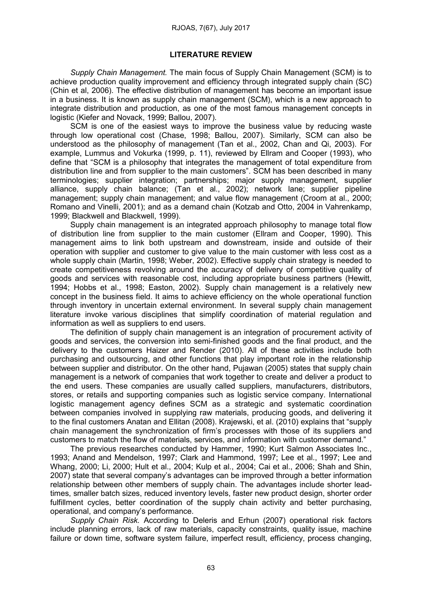#### RJOAS, 7(67), July 2017

#### LITERATURE REVIEW

*Supply Chain Management.* The main focus of Supply Chain Management (SCM) is to achieve production quality improvement and efficiency through integrated supply chain (SC) (Chin et al, 2006). The effective distribution of management has become an important issue in a business. It is known as supply chain management (SCM), which is a new approach to integrate distribution and production, as one of the most famous management concepts in logistic (Kiefer and Novack, 1999; Ballou, 2007).

SCM is one of the easiest ways to improve the business value by reducing waste through low operational cost (Chase, 1998; Ballou, 2007). Similarly, SCM can also be understood as the philosophy of management (Tan et al., 2002, Chan and Qi, 2003). For example, Lummus and Vokurka (1999, p. 11), reviewed by Ellram and Cooper (1993), who define that "SCM is a philosophy that integrates the management of total expenditure from distribution line and from supplier to the main customers". SCM has been described in many terminologies; supplier integration; partnerships; major supply management, supplier alliance, supply chain balance; (Tan et al., 2002); network lane; supplier pipeline management; supply chain management; and value flow management (Croom at al., 2000; Romano and Vinelli, 2001); and as a demand chain (Kotzab and Otto, 2004 in Vahrenkamp, 1999; Blackwell and Blackwell, 1999).

Supply chain management is an integrated approach philosophy to manage total flow of distribution line from supplier to the main customer (Ellram and Cooper, 1990). This management aims to link both upstream and downstream, inside and outside of their operation with supplier and customer to give value to the main customer with less cost as a whole supply chain (Martin, 1998; Weber, 2002). Effective supply chain strategy is needed to create competitiveness revolving around the accuracy of delivery of competitive quality of goods and services with reasonable cost, including appropriate business partners (Hewitt, 1994; Hobbs et al., 1998; Easton, 2002). Supply chain management is a relatively new concept in the business field. It aims to achieve efficiency on the whole operational function through inventory in uncertain external environment. In several supply chain management literature invoke various disciplines that simplify coordination of material regulation and information as well as suppliers to end users.

The definition of supply chain management is an integration of procurement activity of goods and services, the conversion into semi-finished goods and the final product, and the delivery to the customers Haizer and Render (2010). All of these activities include both purchasing and outsourcing, and other functions that play important role in the relationship between supplier and distributor. On the other hand, Pujawan (2005) states that supply chain management is a network of companies that work together to create and deliver a product to the end users. These companies are usually called suppliers, manufacturers, distributors, stores, or retails and supporting companies such as logistic service company. International logistic management agency defines SCM as a strategic and systematic coordination between companies involved in supplying raw materials, producing goods, and delivering it to the final customers Anatan and Ellitan (2008). Krajewski, et al. (2010) explains that "supply chain management the synchronization of firm's processes with those of its suppliers and customers to match the flow of materials, services, and information with customer demand."

The previous researches conducted by Hammer, 1990; Kurt Salmon Associates Inc., 1993; Anand and Mendelson, 1997; Clark and Hammond, 1997; Lee et al., 1997; Lee and Whang, 2000; Li, 2000; Hult et al., 2004; Kulp et al., 2004; Cai et al., 2006; Shah and Shin, 2007) state that several company's advantages can be improved through a better information relationship between other members of supply chain. The advantages include shorter leadtimes, smaller batch sizes, reduced inventory levels, faster new product design, shorter order fulfillment cycles, better coordination of the supply chain activity and better purchasing. operational, and company's performance.

*Supply Chain Risk.* According to Deleris and Erhun (2007) operational risk factors include planning errors, lack of raw materials, capacity constraints, quality issue, machine failure or down time, software system failure, imperfect result, efficiency, process changing,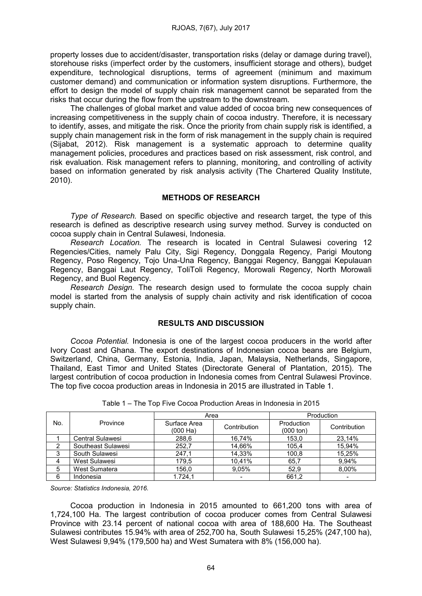property losses due to accident/disaster, transportation risks (delay or damage during travel), storehouse risks (imperfect order by the customers, insufficient storage and others), budget expenditure, technological disruptions, terms of agreement (minimum and maximum customer demand) and communication or information system disruptions. Furthermore, the effort to design the model of supply chain risk management cannot be separated from the risks that occur during the flow from the upstream to the downstream.

The challenges of global market and value added of cocoa bring new consequences of increasing competitiveness in the supply chain of cocoa industry. Therefore, it is necessary to identify, asses, and mitigate the risk. Once the priority from chain supply risk is identified, a supply chain management risk in the form of risk management in the supply chain is required (Sijabat, 2012). Risk management is a systematic approach to determine quality management policies, procedures and practices based on risk assessment, risk control, and risk evaluation. Risk management refers to planning, monitoring, and controlling of activity based on information generated by risk analysis activity (The Chartered Quality Institute, 2010).

# METHODS OF RESEARCH

*Type* of *Research*. Based on specific objective and research target, the type of this research is defined as descriptive research using survey method. Survey is conducted on cocoa supply chain in Central Sulawesi, Indonesia.

*Research Location.* The research is located in Central Sulawesi covering 12 Regencies/Cities, namely Palu City, Sigi Regency, Donggala Regency, Parigi Moutong Regency, Poso Regency, Tojo Una-Una Regency, Banggai Regency, Banggai Kepulauan Regency, Banggai Laut Regency, ToliToli Regency, Morowali Regency, North Morowali Regency, and Buol Regency.

*Research Design.* The research design used to formulate the cocoa supply chain model is started from the analysis of supply chain activity and risk identification of cocoa supply chain.

# RESULTS AND DISCUSSION

*Cocoa Potential.* Indonesia is one of the largest cocoa producers in the world after Ivory Coast and Ghana. The export destinations of Indonesian cocoa beans are Belgium, Switzerland, China, Germany, Estonia, India, Japan, Malaysia, Netherlands, Singapore, Thailand, East Timor and United States (Directorate General of Plantation, 2015). The largest contribution of cocoa production in Indonesia comes from Central Sulawesi Province. The top five cocoa production areas in Indonesia in 2015 are illustrated in Table 1.

| No. | Province                | Area                     |              | Production                        |                          |
|-----|-------------------------|--------------------------|--------------|-----------------------------------|--------------------------|
|     |                         | Surface Area<br>(000 Ha) | Contribution | Production<br>$(000 \text{ ton})$ | Contribution             |
|     | <b>Central Sulawesi</b> | 288,6                    | 16.74%       | 153,0                             | 23,14%                   |
|     | Southeast Sulawesi      | 252,7                    | 14.66%       | 105,4                             | 15.94%                   |
| 3   | South Sulawesi          | 247,1                    | 14.33%       | 100,8                             | 15.25%                   |
| 4   | West Sulawesi           | 179,5                    | 10.41%       | 65,7                              | 9.94%                    |
| 5   | West Sumatera           | 156,0                    | 9,05%        | 52,9                              | 8,00%                    |
| 6   | Indonesia               | 1.724.1                  | $\,$         | 661,2                             | $\overline{\phantom{0}}$ |

Table 1 – The Top Five Cocoa Production Areas in Indonesia in 2015

*Source: Statistics Indonesia, 2016.*

Cocoa production in Indonesia in 2015 amounted to 661,200 tons with area of 1,724,100 Ha. The largest contribution of cocoa producer comes from Central Sulawesi Province with 23.14 percent of national cocoa with area of 188,600 Ha. The Southeast Sulawesi contributes 15.94% with area of 252,700 ha, South Sulawesi 15,25% (247,100 ha), West Sulawesi 9,94% (179,500 ha) and West Sumatera with 8% (156,000 ha).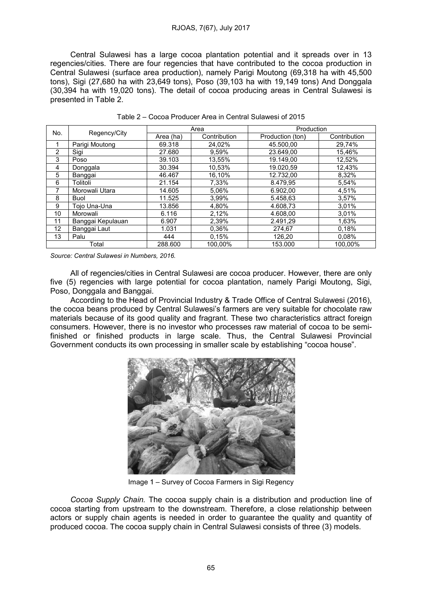### RJOAS, 7(67), July 2017

Central Sulawesi has a large cocoa plantation potential and it spreads over in 13 regencies/cities. There are four regencies that have contributed to the cocoa production in Central Sulawesi (surface area production), namely Parigi Moutong (69,318 (69,318 ha with 45,500 tons), Sigi (27,680 ha with 23,649 tons), Poso (39,103 ha with 19,149 tons) And Donggala (30,394 ha with 19,020 tons). The detail of cocoa producing areas in Central Central Sulawesi is presented in Table 2.

| No.               | Regency/City      | Area      |              | Production       |              |
|-------------------|-------------------|-----------|--------------|------------------|--------------|
|                   |                   | Area (ha) | Contribution | Production (ton) | Contribution |
| 1                 | Parigi Moutong    | 69.318    | 24.02%       | 45.500.00        | 29.74%       |
| 2                 | Sigi              | 27.680    | 9,59%        | 23.649.00        | 15,46%       |
| 3                 | Poso              | 39.103    | 13,55%       | 19.149.00        | 12,52%       |
| 4                 | Donggala          | 30.394    | 10.53%       | 19.020.59        | 12,43%       |
| 5                 | Banggai           | 46.467    | 16,10%       | 12.732.00        | 8,32%        |
| 6                 | Tolitoli          | 21.154    | 7,33%        | 8.479,95         | 5,54%        |
| 7                 | Morowali Utara    | 14.605    | 5.06%        | 6.902.00         | 4,51%        |
| 8                 | <b>Buol</b>       | 11.525    | 3,99%        | 5.458,63         | 3.57%        |
| 9                 | Toio Una-Una      | 13.856    | 4.80%        | 4.608.73         | 3.01%        |
| 10                | Morowali          | 6.116     | 2,12%        | 4.608.00         | 3.01%        |
| 11                | Banggai Kepulauan | 6.907     | 2,39%        | 2.491.29         | 1.63%        |
| $12 \overline{ }$ | Banggai Laut      | 1.031     | 0.36%        | 274,67           | 0.18%        |
| 13                | Palu              | 444       | 0,15%        | 126,20           | 0.08%        |
| Total             |                   | 288.600   | 100.00%      | 153.000          | 100.00%      |

Table 2 – Cocoa Producer Area in Central Sulawesi of 2015

*Source: Central Sulawesi in Numbers, 2016.*

All of regencies/cities in Central Sulawesi are cocoa producer. However, there are only five (5) regencies with large potential for cocoa plantation, namely Parigi Moutong, Sigi, Poso, Donggala and Banggai.

According to the Head of Provincial Industry & Trade Office of Central Sulawesi (2016), the cocoa beans produced by Central Sulawesi's farmers are very suitable for chocolate raw materials because of its good quality and fragrant. These two characteristics attract foreign consumers. However, there is no investor who processes raw material of cocoa to be semifinished or finished products in large scale. Thus, the Central Sulawesi Provincial Government conducts its own processing in smaller scale by establishing "cocoa house".



Image 1 – Survey of Cocoa Farmers in Sigi Regency

Cocoa Supply Chain. The cocoa supply chain is a distribution and production line of cocoa starting from upstream to the downstream. Therefore, a close relationship between actors or supply chain agents is needed in order to guarantee the quality and quantity of produced cocoa. The cocoa supply chain in Central Sulawesi consists of three (3) models.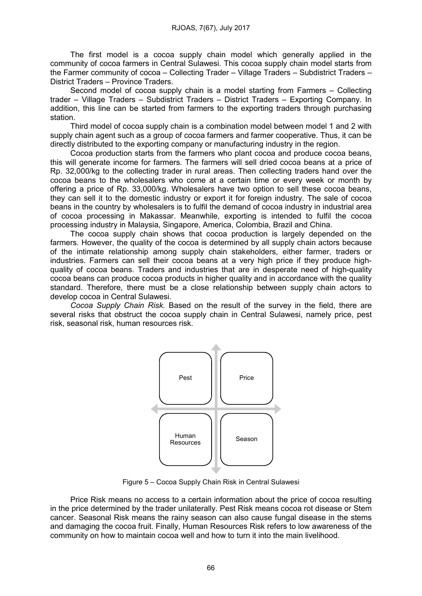The first model is a cocoa supply chain model which generally applied in the community of cocoa farmers in Central Sulawesi. This cocoa supply chain model starts from the Farmer community of cocoa – Collecting Trader – Village Traders – Subdistrict Traders – District Traders – Province Traders.

Second model of cocoa supply chain is a model starting from Farmers – Collecting trader – Village Traders – Subdistrict Traders – District Traders – Exporting Company. In addition, this line can be started from farmers to the exporting traders through purchasing station.

Third model of cocoa supply chain is a combination model between model 1 and 2 with supply chain agent such as a group of cocoa farmers and farmer cooperative. Thus, it can be directly distributed to the exporting company or manufacturing industry in the region.

Cocoa production starts from the farmers who plant cocoa and produce cocoa beans, this will generate income for farmers. The farmers will sell dried cocoa beans at a price of Rp. 32,000/kg to the collecting trader in rural areas. Then collecting traders hand over the cocoa beans to the wholesalers who come at a certain time or every week or month by offering a price of Rp. 33,000/kg. Wholesalers have two option to sell these cocoa beans, they can sell it to the domestic industry or export it for foreign industry. The sale of cocoa beans in the country by wholesalers is to fulfil the demand of cocoa industry in industrial area of cocoa processing in Makassar. Meanwhile, exporting is intended to fulfil the cocoa processing industry in Malaysia, Singapore, America, Colombia, Brazil and China.

The cocoa supply chain shows that cocoa production is largely depended on the farmers. However, the quality of the cocoa is determined by all supply chain actors because of the intimate relationship among supply chain stakeholders, either farmer, traders or industries. Farmers can sell their cocoa beans at a very high price if they produce highquality of cocoa beans. Traders and industries that are in desperate need of high-quality cocoa beans can produce cocoa products in higher quality and in accordance with the quality standard. Therefore, there must be a close relationship between supply chain actors to develop cocoa in Central Sulawesi.

*Cocoa Supply Chain Risk.* Based on the result of the survey in the field, there are several risks that obstruct the cocoa supply chain in Central Sulawesi, namely price, pest risk, seasonal risk, human resources risk.



Figure 5 – Cocoa Supply Chain Risk in Central Sulawesi

Price Risk means no access to a certain information about the price of cocoa resulting in the price determined by the trader unilaterally. Pest Risk means cocoa rot disease or Stem cancer. Seasonal Risk means the rainy season can also cause fungal disease in the stems and damaging the cocoa fruit. Finally, Human Resources Risk refers to low awareness of the community on how to maintain cocoa well and how to turn it into the main livelihood.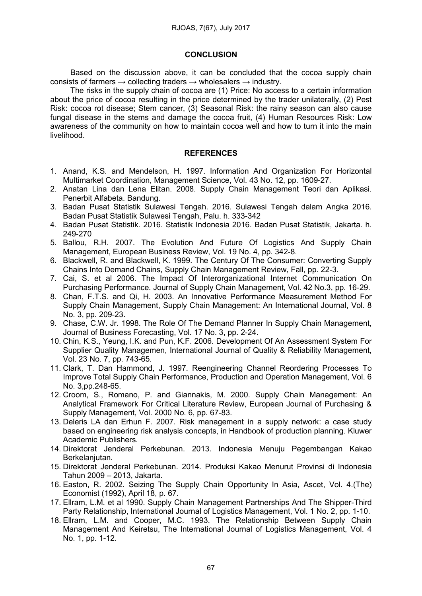## **CONCLUSION**

Based on the discussion above, it can be concluded that the cocoa supply chain consists of farmers  $\rightarrow$  collecting traders  $\rightarrow$  wholesalers  $\rightarrow$  industry.

The risks in the supply chain of cocoa are (1) Price: No access to a certain information about the price of cocoa resulting in the price determined by the trader unilaterally, (2) Pest Risk: cocoa rot disease; Stem cancer, (3) Seasonal Risk: the rainy season can also cause fungal disease in the stems and damage the cocoa fruit, (4) Human Resources Risk: Low awareness of the community on how to maintain cocoa well and how to turn it into the main livelihood.

### **REFERENCES**

- 1. Anand, K.S. and Mendelson, H. 1997. Information And Organization For Horizontal Multimarket Coordination, Management Science, Vol. 43 No. 12, pp. 1609-27.
- 2. Anatan Lina dan Lena Elitan. 2008. Supply Chain Management Teori dan Aplikasi. Penerbit Alfabeta. Bandung.
- 3. Badan Pusat Statistik Sulawesi Tengah. 2016. Sulawesi Tengah dalam Angka 2016. Badan Pusat Statistik Sulawesi Tengah, Palu. h. 333-342
- 4. Badan Pusat Statistik. 2016. Statistik Indonesia 2016. Badan Pusat Statistik, Jakarta. h. 249-270
- 5. Ballou, R.H. 2007. The Evolution And Future Of Logistics And Supply Chain Management, European Business Review, Vol. 19 No. 4, pp. 342-8.
- 6. Blackwell, R. and Blackwell, K. 1999. The Century Of The Consumer: Converting Supply Chains Into Demand Chains, Supply Chain Management Review, Fall, pp. 22-3.
- 7. Cai, S. et al 2006. The Impact Of Interorganizational Internet Communication On Purchasing Performance. Journal of Supply Chain Management, Vol. 42 No.3, pp. 16-29.
- 8. Chan, F.T.S. and Qi, H. 2003. An Innovative Performance Measurement Method For Supply Chain Management, Supply Chain Management: An International Journal, Vol. 8 No. 3, pp. 209-23.
- 9. Chase, C.W. Jr. 1998. The Role Of The Demand Planner In Supply Chain Management, Journal of Business Forecasting, Vol. 17 No. 3, pp. 2-24.
- 10. Chin, K.S., Yeung, I.K. and Pun, K.F. 2006. Development Of An Assessment System For Supplier Quality Managemen, International Journal of Quality & Reliability Management, Vol. 23 No. 7, pp. 743-65.
- 11. Clark, T. Dan Hammond, J. 1997. Reengineering Channel Reordering Processes To Improve Total Supply Chain Performance, Production and Operation Management, Vol. 6 No. 3,pp.248-65.
- 12. Croom, S., Romano, P. and Giannakis, M. 2000. Supply Chain Management: An Analytical Framework For Critical Literature Review, European Journal of Purchasing & Supply Management, Vol. 2000 No. 6, pp. 67-83.
- 13. Deleris LA dan Erhun F. 2007. Risk management in a supply network: a case study based on engineering risk analysis concepts, in Handbook of production planning. Kluwer Academic Publishers.
- 14. Direktorat Jenderal Perkebunan. 2013. Indonesia Menuju Pegembangan Kakao Berkelaniutan.
- 15. Direktorat Jenderal Perkebunan. 2014. Produksi Kakao Menurut Provinsi di Indonesia Tahun 2009 – 2013, Jakarta.
- 16. Easton, R. 2002. Seizing The Supply Chain Opportunity In Asia, Ascet, Vol. 4.(The) Economist (1992), April 18, p. 67.
- 17. Ellram, L.M. et al 1990. Supply Chain Management Partnerships And The Shipper-Third Party Relationship, International Journal of Logistics Management, Vol. 1 No. 2, pp. 1-10.
- 18. Ellram, L.M. and Cooper, M.C. 1993. The Relationship Between Supply Chain Management And Keiretsu, The International Journal of Logistics Management, Vol. 4 No. 1, pp. 1-12.